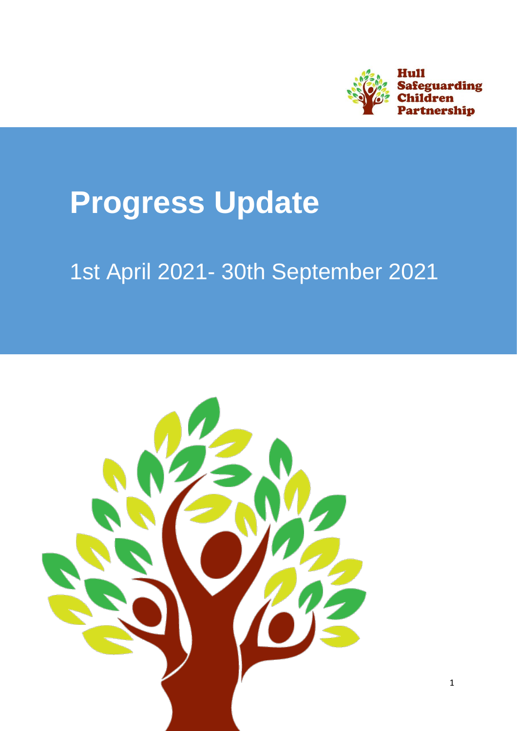

# **Progress Update**

# 1st April 2021- 30th September 2021

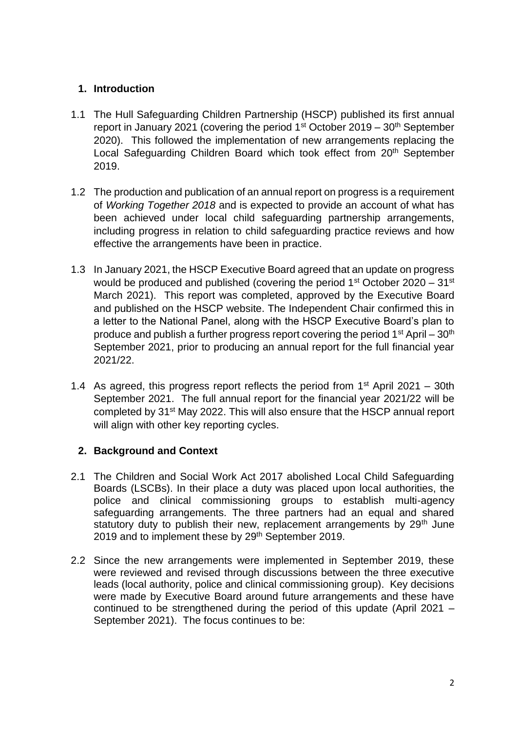## **1. Introduction**

- 1.1 The Hull Safeguarding Children Partnership (HSCP) published its first annual report in January 2021 (covering the period  $1<sup>st</sup> October 2019 - 30<sup>th</sup> September$ 2020). This followed the implementation of new arrangements replacing the Local Safeguarding Children Board which took effect from 20<sup>th</sup> September 2019.
- 1.2 The production and publication of an annual report on progress is a requirement of *Working Together 2018* and is expected to provide an account of what has been achieved under local child safeguarding partnership arrangements, including progress in relation to child safeguarding practice reviews and how effective the arrangements have been in practice.
- 1.3 In January 2021, the HSCP Executive Board agreed that an update on progress would be produced and published (covering the period  $1<sup>st</sup>$  October 2020 – 31 $<sup>st</sup>$ </sup> March 2021). This report was completed, approved by the Executive Board and published on the HSCP website. The Independent Chair confirmed this in a letter to the National Panel, along with the HSCP Executive Board's plan to produce and publish a further progress report covering the period  $1<sup>st</sup>$  April –  $30<sup>th</sup>$ September 2021, prior to producing an annual report for the full financial year 2021/22.
- 1.4 As agreed, this progress report reflects the period from  $1<sup>st</sup>$  April 2021 30th September 2021. The full annual report for the financial year 2021/22 will be completed by 31st May 2022. This will also ensure that the HSCP annual report will align with other key reporting cycles.

# **2. Background and Context**

- 2.1 The Children and Social Work Act 2017 abolished Local Child Safeguarding Boards (LSCBs). In their place a duty was placed upon local authorities, the police and clinical commissioning groups to establish multi-agency safeguarding arrangements. The three partners had an equal and shared statutory duty to publish their new, replacement arrangements by  $29<sup>th</sup>$  June 2019 and to implement these by 29<sup>th</sup> September 2019.
- 2.2 Since the new arrangements were implemented in September 2019, these were reviewed and revised through discussions between the three executive leads (local authority, police and clinical commissioning group). Key decisions were made by Executive Board around future arrangements and these have continued to be strengthened during the period of this update (April 2021 – September 2021). The focus continues to be: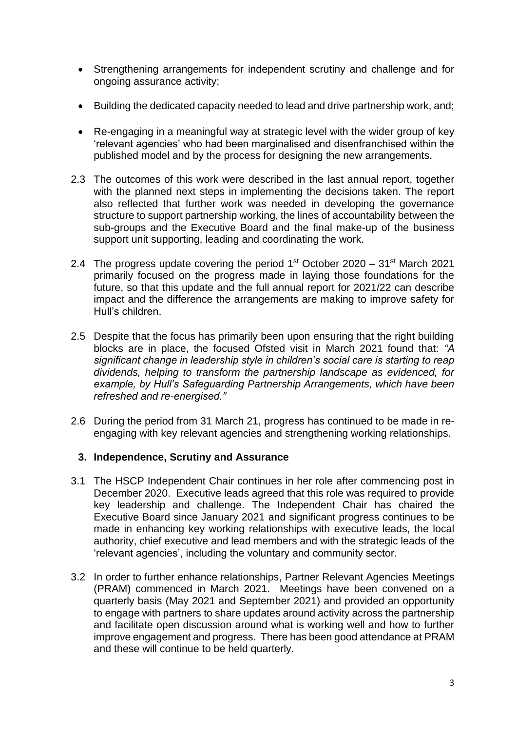- Strengthening arrangements for independent scrutiny and challenge and for ongoing assurance activity;
- Building the dedicated capacity needed to lead and drive partnership work, and;
- Re-engaging in a meaningful way at strategic level with the wider group of key 'relevant agencies' who had been marginalised and disenfranchised within the published model and by the process for designing the new arrangements.
- 2.3 The outcomes of this work were described in the last annual report, together with the planned next steps in implementing the decisions taken. The report also reflected that further work was needed in developing the governance structure to support partnership working, the lines of accountability between the sub-groups and the Executive Board and the final make-up of the business support unit supporting, leading and coordinating the work.
- 2.4 The progress update covering the period  $1<sup>st</sup>$  October 2020 31<sup>st</sup> March 2021 primarily focused on the progress made in laying those foundations for the future, so that this update and the full annual report for 2021/22 can describe impact and the difference the arrangements are making to improve safety for Hull's children.
- 2.5 Despite that the focus has primarily been upon ensuring that the right building blocks are in place, the focused Ofsted visit in March 2021 found that: *"A significant change in leadership style in children's social care is starting to reap dividends, helping to transform the partnership landscape as evidenced, for example, by Hull's Safeguarding Partnership Arrangements, which have been refreshed and re-energised."*
- 2.6 During the period from 31 March 21, progress has continued to be made in reengaging with key relevant agencies and strengthening working relationships.

#### **3. Independence, Scrutiny and Assurance**

- 3.1 The HSCP Independent Chair continues in her role after commencing post in December 2020. Executive leads agreed that this role was required to provide key leadership and challenge. The Independent Chair has chaired the Executive Board since January 2021 and significant progress continues to be made in enhancing key working relationships with executive leads, the local authority, chief executive and lead members and with the strategic leads of the 'relevant agencies', including the voluntary and community sector.
- 3.2 In order to further enhance relationships, Partner Relevant Agencies Meetings (PRAM) commenced in March 2021. Meetings have been convened on a quarterly basis (May 2021 and September 2021) and provided an opportunity to engage with partners to share updates around activity across the partnership and facilitate open discussion around what is working well and how to further improve engagement and progress. There has been good attendance at PRAM and these will continue to be held quarterly.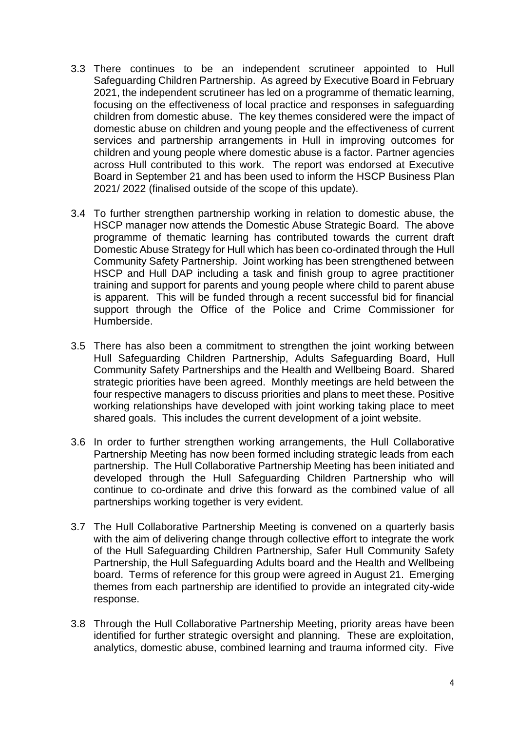- 3.3 There continues to be an independent scrutineer appointed to Hull Safeguarding Children Partnership. As agreed by Executive Board in February 2021, the independent scrutineer has led on a programme of thematic learning, focusing on the effectiveness of local practice and responses in safeguarding children from domestic abuse. The key themes considered were the impact of domestic abuse on children and young people and the effectiveness of current services and partnership arrangements in Hull in improving outcomes for children and young people where domestic abuse is a factor. Partner agencies across Hull contributed to this work. The report was endorsed at Executive Board in September 21 and has been used to inform the HSCP Business Plan 2021/ 2022 (finalised outside of the scope of this update).
- 3.4 To further strengthen partnership working in relation to domestic abuse, the HSCP manager now attends the Domestic Abuse Strategic Board. The above programme of thematic learning has contributed towards the current draft Domestic Abuse Strategy for Hull which has been co-ordinated through the Hull Community Safety Partnership. Joint working has been strengthened between HSCP and Hull DAP including a task and finish group to agree practitioner training and support for parents and young people where child to parent abuse is apparent. This will be funded through a recent successful bid for financial support through the Office of the Police and Crime Commissioner for Humberside.
- 3.5 There has also been a commitment to strengthen the joint working between Hull Safeguarding Children Partnership, Adults Safeguarding Board, Hull Community Safety Partnerships and the Health and Wellbeing Board. Shared strategic priorities have been agreed. Monthly meetings are held between the four respective managers to discuss priorities and plans to meet these. Positive working relationships have developed with joint working taking place to meet shared goals. This includes the current development of a joint website.
- 3.6 In order to further strengthen working arrangements, the Hull Collaborative Partnership Meeting has now been formed including strategic leads from each partnership. The Hull Collaborative Partnership Meeting has been initiated and developed through the Hull Safeguarding Children Partnership who will continue to co-ordinate and drive this forward as the combined value of all partnerships working together is very evident.
- 3.7 The Hull Collaborative Partnership Meeting is convened on a quarterly basis with the aim of delivering change through collective effort to integrate the work of the Hull Safeguarding Children Partnership, Safer Hull Community Safety Partnership, the Hull Safeguarding Adults board and the Health and Wellbeing board. Terms of reference for this group were agreed in August 21. Emerging themes from each partnership are identified to provide an integrated city-wide response.
- 3.8 Through the Hull Collaborative Partnership Meeting, priority areas have been identified for further strategic oversight and planning. These are exploitation, analytics, domestic abuse, combined learning and trauma informed city. Five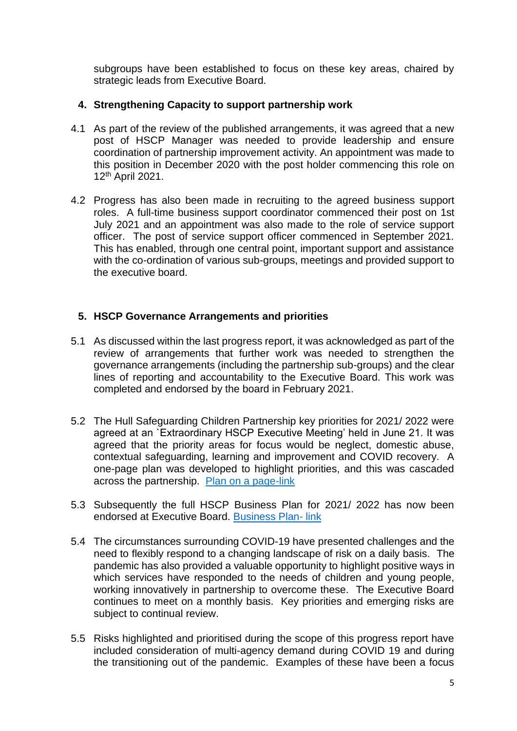subgroups have been established to focus on these key areas, chaired by strategic leads from Executive Board.

### **4. Strengthening Capacity to support partnership work**

- 4.1 As part of the review of the published arrangements, it was agreed that a new post of HSCP Manager was needed to provide leadership and ensure coordination of partnership improvement activity. An appointment was made to this position in December 2020 with the post holder commencing this role on 12th April 2021.
- 4.2 Progress has also been made in recruiting to the agreed business support roles. A full-time business support coordinator commenced their post on 1st July 2021 and an appointment was also made to the role of service support officer. The post of service support officer commenced in September 2021. This has enabled, through one central point, important support and assistance with the co-ordination of various sub-groups, meetings and provided support to the executive board.

# **5. HSCP Governance Arrangements and priorities**

- 5.1 As discussed within the last progress report, it was acknowledged as part of the review of arrangements that further work was needed to strengthen the governance arrangements (including the partnership sub-groups) and the clear lines of reporting and accountability to the Executive Board. This work was completed and endorsed by the board in February 2021.
- 5.2 The Hull Safeguarding Children Partnership key priorities for 2021/ 2022 were agreed at an `Extraordinary HSCP Executive Meeting' held in June 21. It was agreed that the priority areas for focus would be neglect, domestic abuse, contextual safeguarding, learning and improvement and COVID recovery. A one-page plan was developed to highlight priorities, and this was cascaded across the partnership. [Plan on a page-](https://www.hullscp.co.uk/wp-content/uploads/2021/09/HSCP-Plan-on-a-page.pdf)link
- 5.3 Subsequently the full HSCP Business Plan for 2021/ 2022 has now been endorsed at Executive Board. [Business Plan-](https://www.hullscp.co.uk/wp-content/uploads/2022/01/HSCPBusinessPlan-2021-2022-final.pdf) link
- 5.4 The circumstances surrounding COVID-19 have presented challenges and the need to flexibly respond to a changing landscape of risk on a daily basis. The pandemic has also provided a valuable opportunity to highlight positive ways in which services have responded to the needs of children and young people, working innovatively in partnership to overcome these. The Executive Board continues to meet on a monthly basis. Key priorities and emerging risks are subject to continual review.
- 5.5 Risks highlighted and prioritised during the scope of this progress report have included consideration of multi-agency demand during COVID 19 and during the transitioning out of the pandemic. Examples of these have been a focus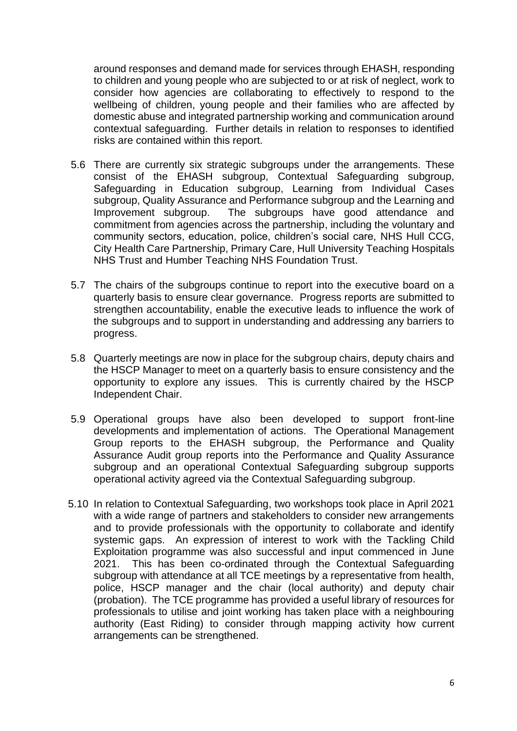around responses and demand made for services through EHASH, responding to children and young people who are subjected to or at risk of neglect, work to consider how agencies are collaborating to effectively to respond to the wellbeing of children, young people and their families who are affected by domestic abuse and integrated partnership working and communication around contextual safeguarding. Further details in relation to responses to identified risks are contained within this report.

- 5.6 There are currently six strategic subgroups under the arrangements. These consist of the EHASH subgroup, Contextual Safeguarding subgroup, Safeguarding in Education subgroup, Learning from Individual Cases subgroup, Quality Assurance and Performance subgroup and the Learning and Improvement subgroup. The subgroups have good attendance and commitment from agencies across the partnership, including the voluntary and community sectors, education, police, children's social care, NHS Hull CCG, City Health Care Partnership, Primary Care, Hull University Teaching Hospitals NHS Trust and Humber Teaching NHS Foundation Trust.
- 5.7 The chairs of the subgroups continue to report into the executive board on a quarterly basis to ensure clear governance. Progress reports are submitted to strengthen accountability, enable the executive leads to influence the work of the subgroups and to support in understanding and addressing any barriers to progress.
- 5.8 Quarterly meetings are now in place for the subgroup chairs, deputy chairs and the HSCP Manager to meet on a quarterly basis to ensure consistency and the opportunity to explore any issues. This is currently chaired by the HSCP Independent Chair.
- 5.9 Operational groups have also been developed to support front-line developments and implementation of actions. The Operational Management Group reports to the EHASH subgroup, the Performance and Quality Assurance Audit group reports into the Performance and Quality Assurance subgroup and an operational Contextual Safeguarding subgroup supports operational activity agreed via the Contextual Safeguarding subgroup.
- 5.10 In relation to Contextual Safeguarding, two workshops took place in April 2021 with a wide range of partners and stakeholders to consider new arrangements and to provide professionals with the opportunity to collaborate and identify systemic gaps. An expression of interest to work with the Tackling Child Exploitation programme was also successful and input commenced in June 2021. This has been co-ordinated through the Contextual Safeguarding subgroup with attendance at all TCE meetings by a representative from health, police, HSCP manager and the chair (local authority) and deputy chair (probation). The TCE programme has provided a useful library of resources for professionals to utilise and joint working has taken place with a neighbouring authority (East Riding) to consider through mapping activity how current arrangements can be strengthened.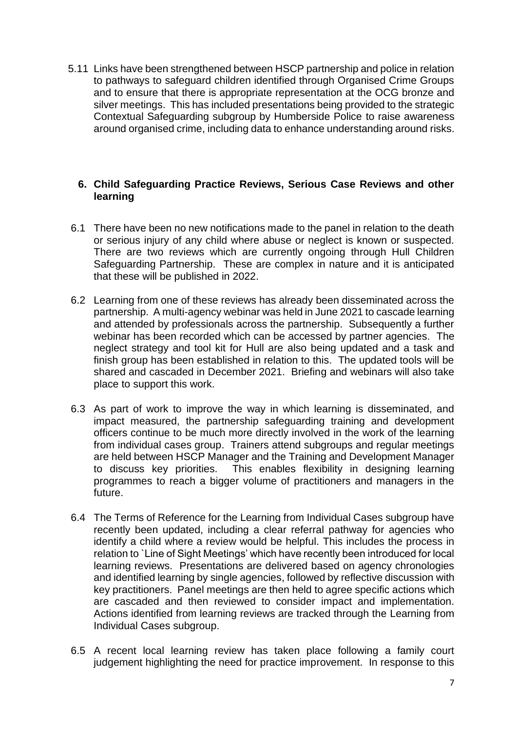5.11 Links have been strengthened between HSCP partnership and police in relation to pathways to safeguard children identified through Organised Crime Groups and to ensure that there is appropriate representation at the OCG bronze and silver meetings. This has included presentations being provided to the strategic Contextual Safeguarding subgroup by Humberside Police to raise awareness around organised crime, including data to enhance understanding around risks.

#### **6. Child Safeguarding Practice Reviews, Serious Case Reviews and other learning**

- 6.1 There have been no new notifications made to the panel in relation to the death or serious injury of any child where abuse or neglect is known or suspected. There are two reviews which are currently ongoing through Hull Children Safeguarding Partnership. These are complex in nature and it is anticipated that these will be published in 2022.
- 6.2 Learning from one of these reviews has already been disseminated across the partnership. A multi-agency webinar was held in June 2021 to cascade learning and attended by professionals across the partnership. Subsequently a further webinar has been recorded which can be accessed by partner agencies. The neglect strategy and tool kit for Hull are also being updated and a task and finish group has been established in relation to this. The updated tools will be shared and cascaded in December 2021. Briefing and webinars will also take place to support this work.
- 6.3 As part of work to improve the way in which learning is disseminated, and impact measured, the partnership safeguarding training and development officers continue to be much more directly involved in the work of the learning from individual cases group. Trainers attend subgroups and regular meetings are held between HSCP Manager and the Training and Development Manager to discuss key priorities. This enables flexibility in designing learning programmes to reach a bigger volume of practitioners and managers in the future.
- 6.4 The Terms of Reference for the Learning from Individual Cases subgroup have recently been updated, including a clear referral pathway for agencies who identify a child where a review would be helpful. This includes the process in relation to `Line of Sight Meetings' which have recently been introduced for local learning reviews. Presentations are delivered based on agency chronologies and identified learning by single agencies, followed by reflective discussion with key practitioners. Panel meetings are then held to agree specific actions which are cascaded and then reviewed to consider impact and implementation. Actions identified from learning reviews are tracked through the Learning from Individual Cases subgroup.
- 6.5 A recent local learning review has taken place following a family court judgement highlighting the need for practice improvement. In response to this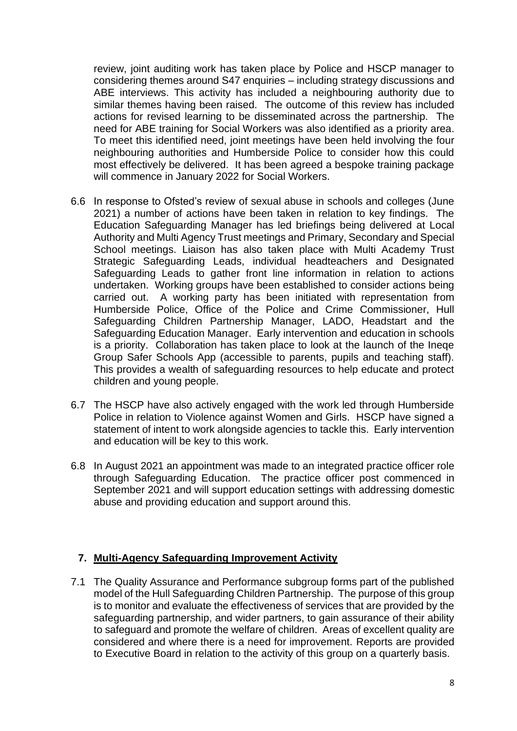review, joint auditing work has taken place by Police and HSCP manager to considering themes around S47 enquiries – including strategy discussions and ABE interviews. This activity has included a neighbouring authority due to similar themes having been raised. The outcome of this review has included actions for revised learning to be disseminated across the partnership. The need for ABE training for Social Workers was also identified as a priority area. To meet this identified need, joint meetings have been held involving the four neighbouring authorities and Humberside Police to consider how this could most effectively be delivered. It has been agreed a bespoke training package will commence in January 2022 for Social Workers.

- 6.6 In response to Ofsted's review of sexual abuse in schools and colleges (June 2021) a number of actions have been taken in relation to key findings. The Education Safeguarding Manager has led briefings being delivered at Local Authority and Multi Agency Trust meetings and Primary, Secondary and Special School meetings. Liaison has also taken place with Multi Academy Trust Strategic Safeguarding Leads, individual headteachers and Designated Safeguarding Leads to gather front line information in relation to actions undertaken. Working groups have been established to consider actions being carried out. A working party has been initiated with representation from Humberside Police, Office of the Police and Crime Commissioner, Hull Safeguarding Children Partnership Manager, LADO, Headstart and the Safeguarding Education Manager. Early intervention and education in schools is a priority. Collaboration has taken place to look at the launch of the Ineqe Group Safer Schools App (accessible to parents, pupils and teaching staff). This provides a wealth of safeguarding resources to help educate and protect children and young people.
- 6.7 The HSCP have also actively engaged with the work led through Humberside Police in relation to Violence against Women and Girls. HSCP have signed a statement of intent to work alongside agencies to tackle this. Early intervention and education will be key to this work.
- 6.8 In August 2021 an appointment was made to an integrated practice officer role through Safeguarding Education. The practice officer post commenced in September 2021 and will support education settings with addressing domestic abuse and providing education and support around this.

#### **7. Multi-Agency Safeguarding Improvement Activity**

7.1 The Quality Assurance and Performance subgroup forms part of the published model of the Hull Safeguarding Children Partnership. The purpose of this group is to monitor and evaluate the effectiveness of services that are provided by the safeguarding partnership, and wider partners, to gain assurance of their ability to safeguard and promote the welfare of children. Areas of excellent quality are considered and where there is a need for improvement. Reports are provided to Executive Board in relation to the activity of this group on a quarterly basis.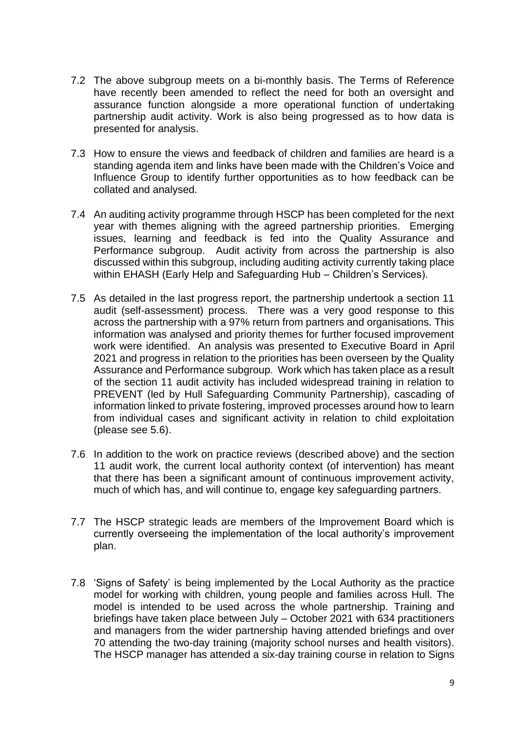- 7.2 The above subgroup meets on a bi-monthly basis. The Terms of Reference have recently been amended to reflect the need for both an oversight and assurance function alongside a more operational function of undertaking partnership audit activity. Work is also being progressed as to how data is presented for analysis.
- 7.3 How to ensure the views and feedback of children and families are heard is a standing agenda item and links have been made with the Children's Voice and Influence Group to identify further opportunities as to how feedback can be collated and analysed.
- 7.4 An auditing activity programme through HSCP has been completed for the next year with themes aligning with the agreed partnership priorities. Emerging issues, learning and feedback is fed into the Quality Assurance and Performance subgroup. Audit activity from across the partnership is also discussed within this subgroup, including auditing activity currently taking place within EHASH (Early Help and Safeguarding Hub – Children's Services).
- 7.5 As detailed in the last progress report, the partnership undertook a section 11 audit (self-assessment) process. There was a very good response to this across the partnership with a 97% return from partners and organisations. This information was analysed and priority themes for further focused improvement work were identified. An analysis was presented to Executive Board in April 2021 and progress in relation to the priorities has been overseen by the Quality Assurance and Performance subgroup. Work which has taken place as a result of the section 11 audit activity has included widespread training in relation to PREVENT (led by Hull Safeguarding Community Partnership), cascading of information linked to private fostering, improved processes around how to learn from individual cases and significant activity in relation to child exploitation (please see 5.6).
- 7.6 In addition to the work on practice reviews (described above) and the section 11 audit work, the current local authority context (of intervention) has meant that there has been a significant amount of continuous improvement activity, much of which has, and will continue to, engage key safeguarding partners.
- 7.7 The HSCP strategic leads are members of the Improvement Board which is currently overseeing the implementation of the local authority's improvement plan.
- 7.8 'Signs of Safety' is being implemented by the Local Authority as the practice model for working with children, young people and families across Hull. The model is intended to be used across the whole partnership. Training and briefings have taken place between July – October 2021 with 634 practitioners and managers from the wider partnership having attended briefings and over 70 attending the two-day training (majority school nurses and health visitors). The HSCP manager has attended a six-day training course in relation to Signs